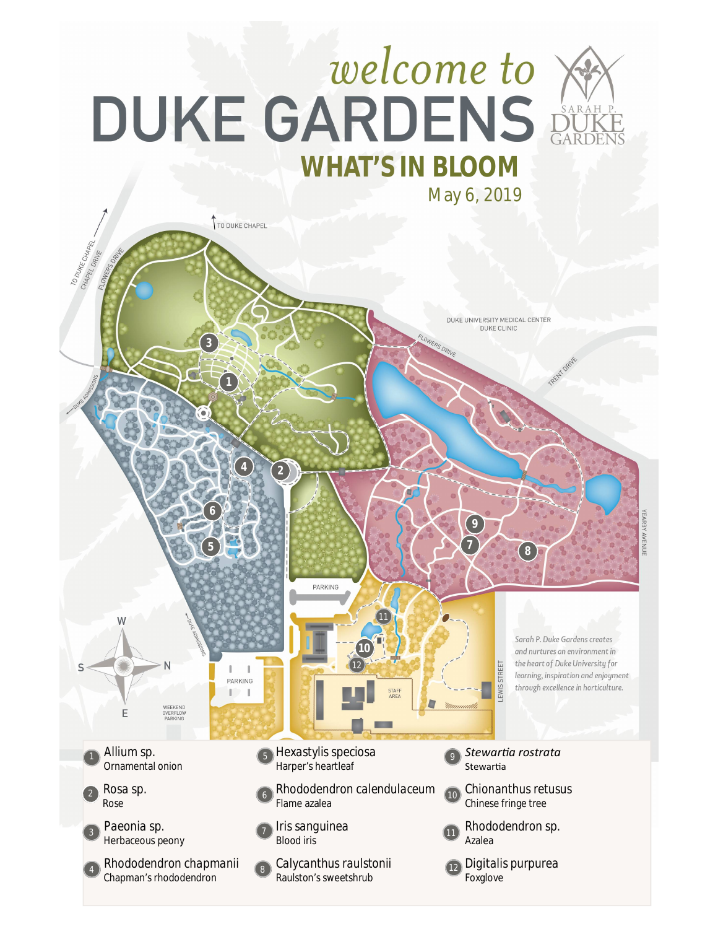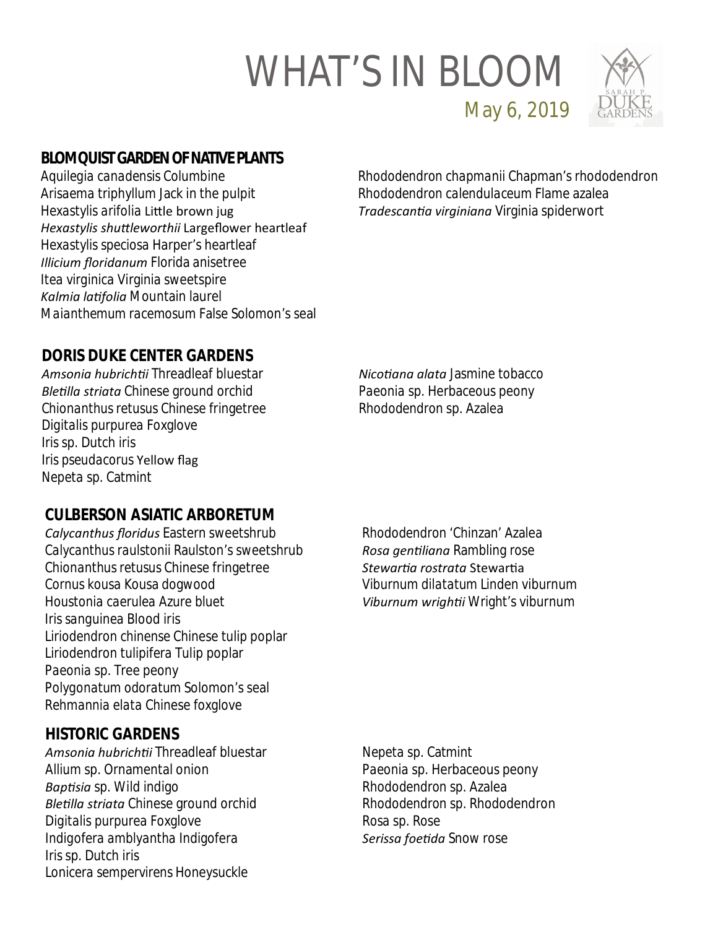

**BLOMQUIST GARDEN OF NATIVE PLANTS**

*Aquilegia canadensis* Columbine *Arisaema triphyllum* Jack in the pulpit *Hexastylis arifolia* LiƩle brown jug *Hexastylis shuƩleworthii* Largeflower heartleaf *Hexastylis speciosa* Harper's heartleaf *Illicium floridanum* Florida anisetree *Itea virginica* Virginia sweetspire *Kalmia laƟfolia* Mountain laurel *Maianthemum racemosum* False Solomon's seal *Rhododendron chapmanii* Chapman's rhododendron *Rhododendron calendulaceum* Flame azalea *TradescanƟa virginiana* Virginia spiderwort

May 6, 2019

## **DORIS DUKE CENTER GARDENS**

*Amsonia hubrichƟi* Threadleaf bluestar *BleƟlla striata* Chinese ground orchid *Chionanthus retusus* Chinese fringetree *Digitalis purpurea* Foxglove *Iris* sp. Dutch iris *Iris pseudacorus* Yellow flag *Nepeta* sp. Catmint

*NicoƟana alata* Jasmine tobacco *Paeonia* sp. Herbaceous peony *Rhododendron* sp. Azalea

### **CULBERSON ASIATIC ARBORETUM**

*Calycanthus floridus* Eastern sweetshrub *Calycanthus raulstonii* Raulston's sweetshrub *Chionanthus retusus* Chinese fringetree *Cornus kousa* Kousa dogwood *Houstonia caerulea* Azure bluet *Iris sanguinea* Blood iris *Liriodendron chinense* Chinese tulip poplar *Liriodendron tulipifera* Tulip poplar *Paeonia* sp. Tree peony *Polygonatum odoratum* Solomon's seal *Rehmannia elata* Chinese foxglove

#### **HISTORIC GARDENS**

*Amsonia hubrichƟi* Threadleaf bluestar *Allium* sp. Ornamental onion *BapƟsia* sp. Wild indigo *BleƟlla striata* Chinese ground orchid *Digitalis purpurea* Foxglove *Indigofera amblyantha* Indigofera *Iris* sp. Dutch iris *Lonicera sempervirens* Honeysuckle

*Rhododendron* 'Chinzan' Azalea *Rosa genƟliana* Rambling rose *StewarƟa rostrata* StewarƟa *Viburnum dilatatum* Linden viburnum *Viburnum wrighƟi* Wright's viburnum

*Nepeta* sp. Catmint *Paeonia* sp. Herbaceous peony *Rhododendron* sp. Azalea *Rhododendron* sp. Rhododendron *Rosa* sp. Rose *Serissa foeƟda* Snow rose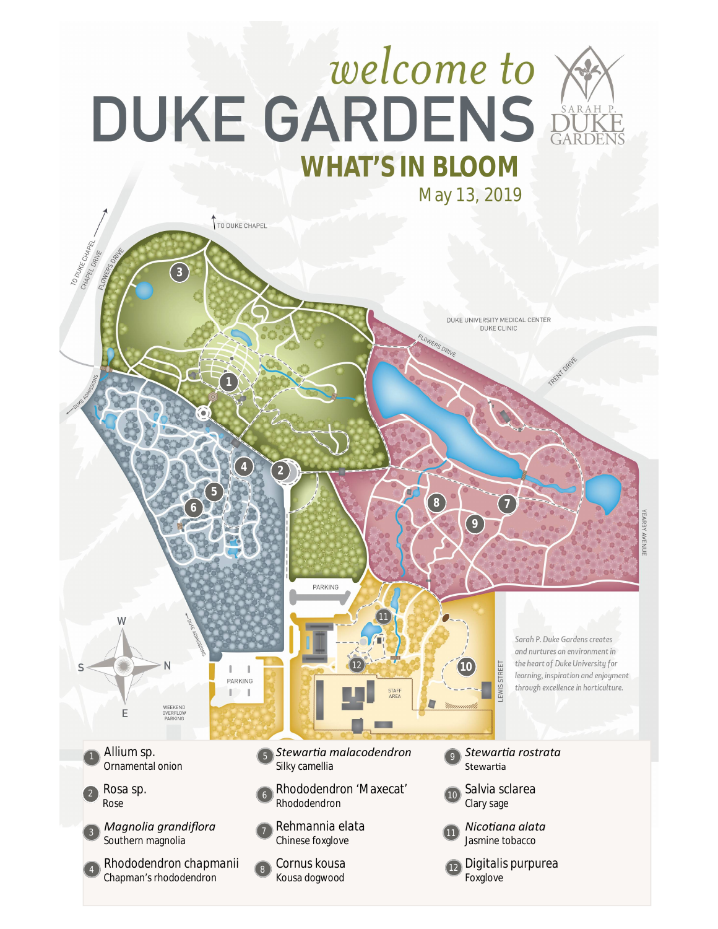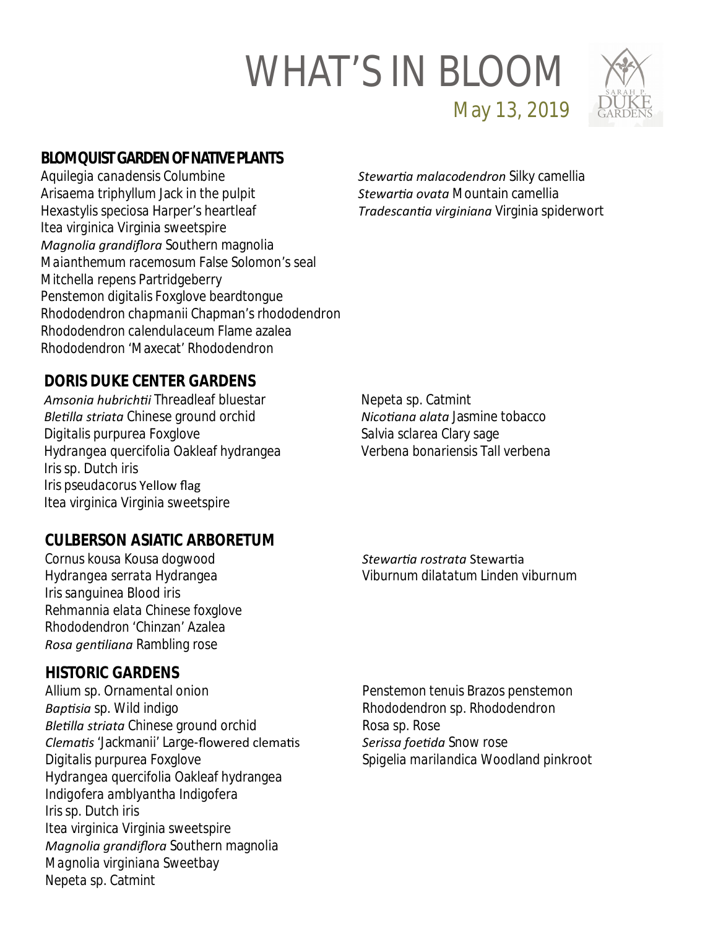

**BLOMQUIST GARDEN OF NATIVE PLANTS**

*Aquilegia canadensis* Columbine *Arisaema triphyllum* Jack in the pulpit *Hexastylis speciosa* Harper's heartleaf *Itea virginica* Virginia sweetspire *Magnolia grandiflora* Southern magnolia *Maianthemum racemosum* False Solomon's seal *Mitchella repens* Partridgeberry *Penstemon digitalis* Foxglove beardtongue *Rhododendron chapmanii* Chapman's rhododendron *Rhododendron calendulaceum* Flame azalea *Rhododendron* 'Maxecat' Rhododendron

*StewarƟa malacodendron* Silky camellia *StewarƟa ovata* Mountain camellia *TradescanƟa virginiana* Virginia spiderwort

May 13, 2019

# **DORIS DUKE CENTER GARDENS**

*Amsonia hubrichƟi* Threadleaf bluestar *BleƟlla striata* Chinese ground orchid *Digitalis purpurea* Foxglove *Hydrangea quercifolia* Oakleaf hydrangea *Iris* sp. Dutch iris *Iris pseudacorus* Yellow flag *Itea virginica* Virginia sweetspire

*Nepeta* sp. Catmint *NicoƟana alata* Jasmine tobacco *Salvia sclarea* Clary sage *Verbena bonariensis* Tall verbena

### **CULBERSON ASIATIC ARBORETUM**

*Cornus kousa* Kousa dogwood *Hydrangea serrata* Hydrangea *Iris sanguinea* Blood iris *Rehmannia elata* Chinese foxglove *Rhododendron* 'Chinzan' Azalea *Rosa genƟliana* Rambling rose

#### **HISTORIC GARDENS**

*Allium* sp. Ornamental onion *BapƟsia* sp. Wild indigo *BleƟlla striata* Chinese ground orchid *ClemaƟs* 'Jackmanii' Large-flowered clemaƟs *Digitalis purpurea* Foxglove *Hydrangea quercifolia* Oakleaf hydrangea *Indigofera amblyantha* Indigofera *Iris* sp. Dutch iris *Itea virginica* Virginia sweetspire *Magnolia grandiflora* Southern magnolia *Magnolia virginiana* Sweetbay *Nepeta* sp. Catmint

*StewarƟa rostrata* StewarƟa *Viburnum dilatatum* Linden viburnum

*Penstemon tenuis* Brazos penstemon *Rhododendron* sp. Rhododendron *Rosa* sp. Rose *Serissa foeƟda* Snow rose *Spigelia marilandica* Woodland pinkroot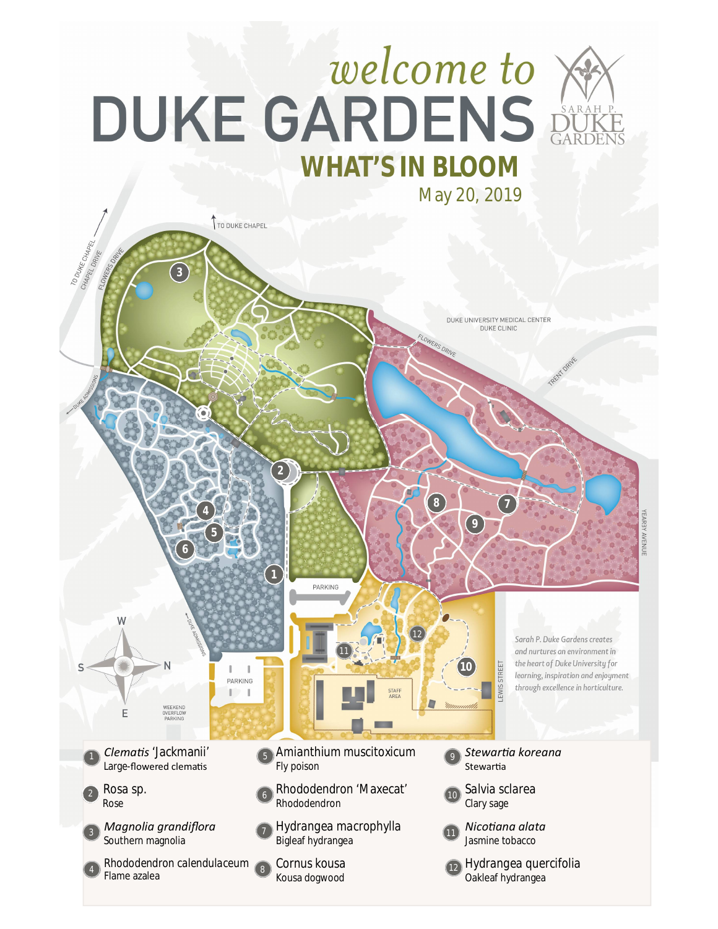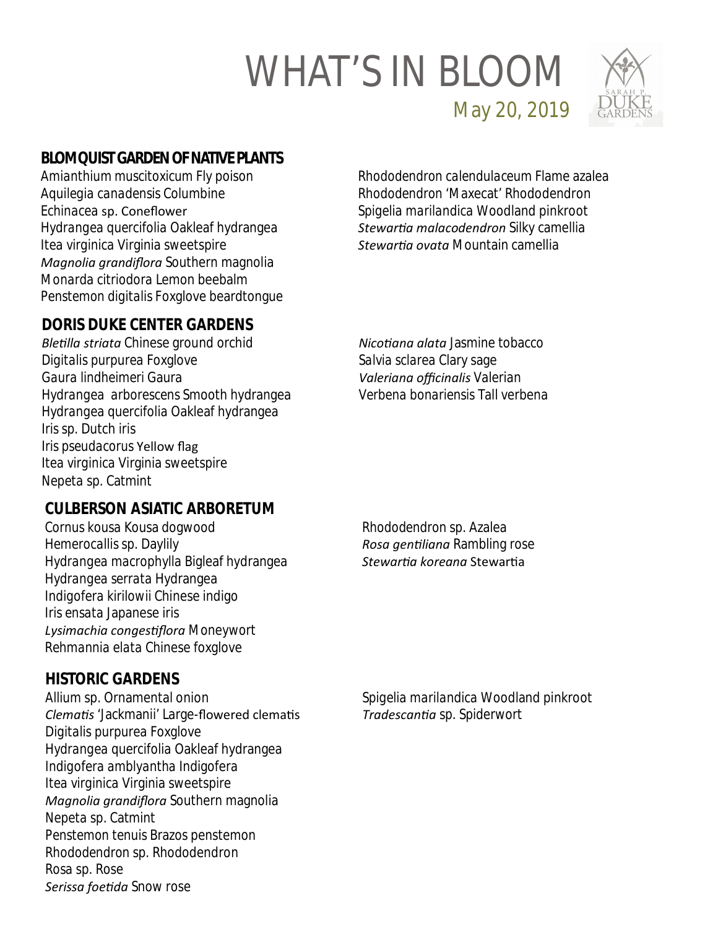

**BLOMQUIST GARDEN OF NATIVE PLANTS**

*Amianthium muscitoxicum* Fly poison *Aquilegia canadensis* Columbine *Echinacea* sp. Coneflower *Hydrangea quercifolia* Oakleaf hydrangea *Itea virginica* Virginia sweetspire *Magnolia grandiflora* Southern magnolia *Monarda citriodora* Lemon beebalm *Penstemon digitalis* Foxglove beardtongue

**DORIS DUKE CENTER GARDENS**

*BleƟlla striata* Chinese ground orchid *Digitalis purpurea* Foxglove *Gaura lindheimeri* Gaura *Hydrangea arborescens* Smooth hydrangea *Hydrangea quercifolia* Oakleaf hydrangea *Iris* sp. Dutch iris *Iris pseudacorus* Yellow flag *Itea virginica* Virginia sweetspire *Nepeta* sp. Catmint

**CULBERSON ASIATIC ARBORETUM**

*Cornus kousa* Kousa dogwood *Hemerocallis* sp. Daylily *Hydrangea macrophylla* Bigleaf hydrangea *Hydrangea serrata* Hydrangea *Indigofera kirilowii* Chinese indigo *Iris ensata* Japanese iris *Lysimachia congesƟflora* Moneywort *Rehmannia elata* Chinese foxglove

**HISTORIC GARDENS**

*Allium* sp. Ornamental onion *ClemaƟs* 'Jackmanii' Large-flowered clemaƟs *Digitalis purpurea* Foxglove *Hydrangea quercifolia* Oakleaf hydrangea *Indigofera amblyantha* Indigofera *Itea virginica* Virginia sweetspire *Magnolia grandiflora* Southern magnolia *Nepeta* sp. Catmint *Penstemon tenuis* Brazos penstemon *Rhododendron* sp. Rhododendron *Rosa* sp. Rose *Serissa foeƟda* Snow rose

*Rhododendron calendulaceum* Flame azalea *Rhododendron* 'Maxecat' Rhododendron *Spigelia marilandica* Woodland pinkroot *StewarƟa malacodendron* Silky camellia *StewarƟa ovata* Mountain camellia

May 20, 2019

*NicoƟana alata* Jasmine tobacco *Salvia sclarea* Clary sage *Valeriana officinalis* Valerian *Verbena bonariensis* Tall verbena

*Rhododendron* sp. Azalea *Rosa genƟliana* Rambling rose *StewarƟa koreana* StewarƟa

*Spigelia marilandica* Woodland pinkroot *TradescanƟa* sp. Spiderwort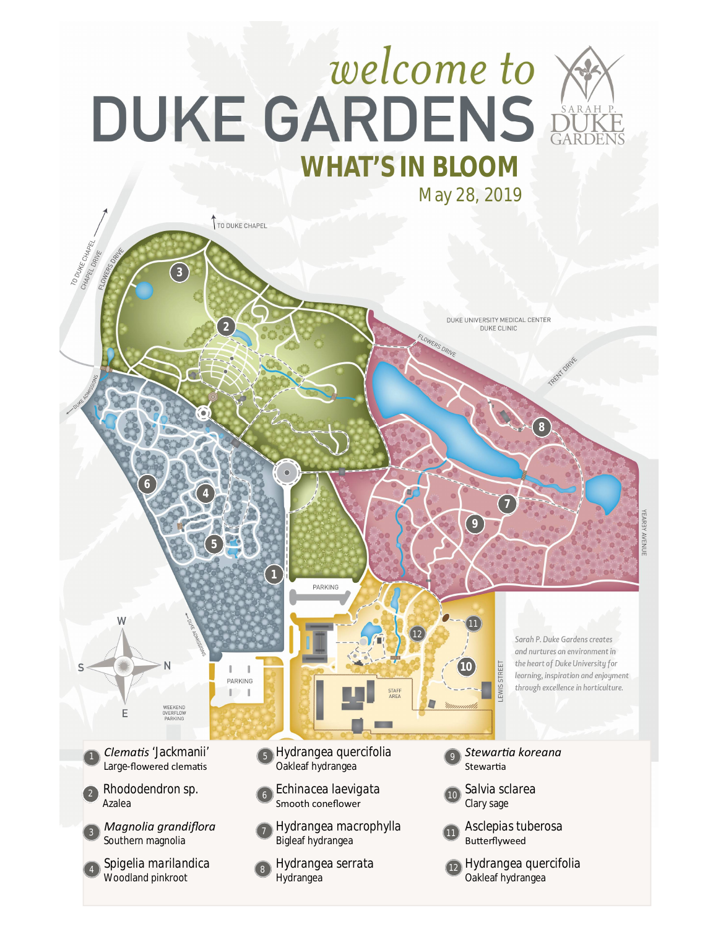